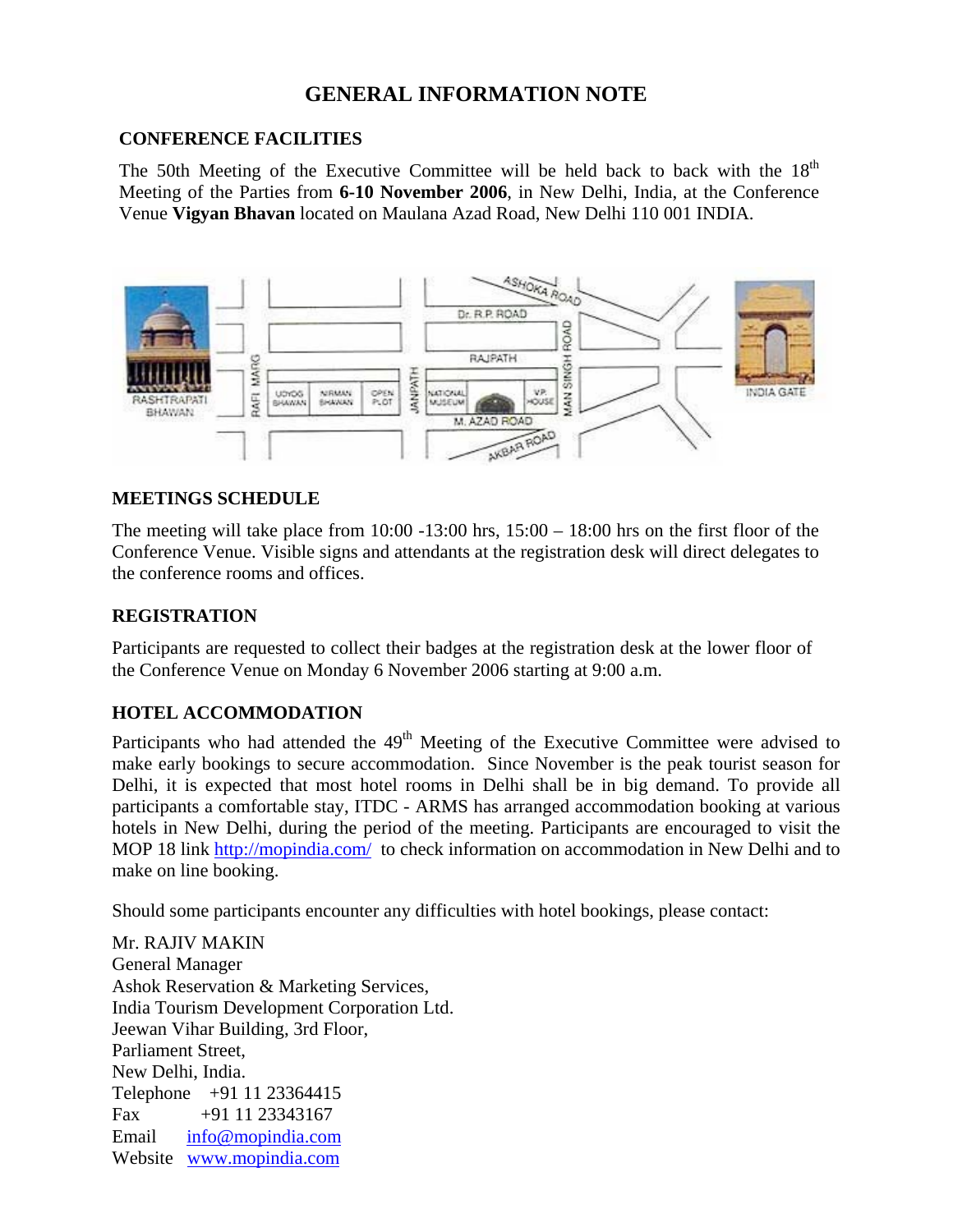# **GENERAL INFORMATION NOTE**

#### **CONFERENCE FACILITIES**

The 50th Meeting of the Executive Committee will be held back to back with the  $18<sup>th</sup>$  Meeting of the Parties from **6-10 November 2006**, in New Delhi, India, at the Conference Venue **Vigyan Bhavan** located on Maulana Azad Road, New Delhi 110 001 INDIA.



### **MEETINGS SCHEDULE**

The meeting will take place from  $10:00 -13:00$  hrs,  $15:00 -18:00$  hrs on the first floor of the Conference Venue. Visible signs and attendants at the registration desk will direct delegates to the conference rooms and offices.

#### **REGISTRATION**

Participants are requested to collect their badges at the registration desk at the lower floor of the Conference Venue on Monday 6 November 2006 starting at 9:00 a.m.

### **HOTEL ACCOMMODATION**

Participants who had attended the 49<sup>th</sup> Meeting of the Executive Committee were advised to make early bookings to secure accommodation. Since November is the peak tourist season for Delhi, it is expected that most hotel rooms in Delhi shall be in big demand. To provide all participants a comfortable stay, ITDC - ARMS has arranged accommodation booking at various hotels in New Delhi, during the period of the meeting. Participants are encouraged to visit the MOP 18 link http://mopindia.com/ to check information on accommodation in New Delhi and to make on line booking.

Should some participants encounter any difficulties with hotel bookings, please contact:

Mr. RAJIV MAKIN General Manager Ashok Reservation & Marketing Services, India Tourism Development Corporation Ltd. Jeewan Vihar Building, 3rd Floor, Parliament Street, New Delhi, India. Telephone +91 11 23364415 Fax  $+91$  11 23343167 Email info@mopindia.com Website www.mopindia.com